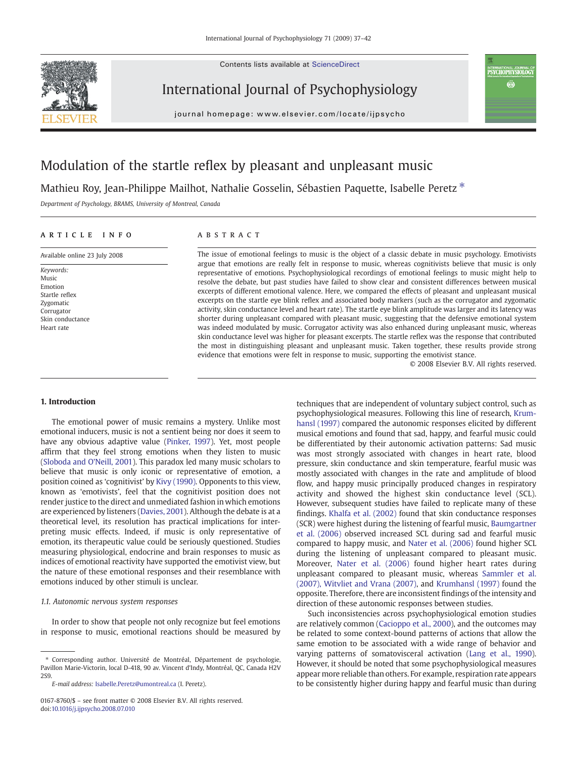Contents lists available at ScienceDirect



International Journal of Psychophysiology



journal homepage: www.elsevier.com/locate/ijpsycho

## Modulation of the startle reflex by pleasant and unpleasant music

Mathieu Roy, Jean-Philippe Mailhot, Nathalie Gosselin, Sébastien Paquette, Isabelle Peretz \*

Department of Psychology, BRAMS, University of Montreal, Canada

### article info abstract

Available online 23 July 2008

Keywords: Music Emotion Startle reflex Zygomatic Corrugator Skin conductance Heart rate

The issue of emotional feelings to music is the object of a classic debate in music psychology. Emotivists argue that emotions are really felt in response to music, whereas cognitivists believe that music is only representative of emotions. Psychophysiological recordings of emotional feelings to music might help to resolve the debate, but past studies have failed to show clear and consistent differences between musical excerpts of different emotional valence. Here, we compared the effects of pleasant and unpleasant musical excerpts on the startle eye blink reflex and associated body markers (such as the corrugator and zygomatic activity, skin conductance level and heart rate). The startle eye blink amplitude was larger and its latency was shorter during unpleasant compared with pleasant music, suggesting that the defensive emotional system was indeed modulated by music. Corrugator activity was also enhanced during unpleasant music, whereas skin conductance level was higher for pleasant excerpts. The startle reflex was the response that contributed the most in distinguishing pleasant and unpleasant music. Taken together, these results provide strong evidence that emotions were felt in response to music, supporting the emotivist stance.

© 2008 Elsevier B.V. All rights reserved.

#### 1. Introduction

The emotional power of music remains a mystery. Unlike most emotional inducers, music is not a sentient being nor does it seem to have any obvious adaptive value ([Pinker, 1997\)](#page--1-0). Yet, most people affirm that they feel strong emotions when they listen to music [\(Sloboda and O'Neill, 2001\)](#page--1-0). This paradox led many music scholars to believe that music is only iconic or representative of emotion, a position coined as 'cognitivist' by [Kivy \(1990\).](#page--1-0) Opponents to this view, known as 'emotivists', feel that the cognitivist position does not render justice to the direct and unmediated fashion in which emotions are experienced by listeners [\(Davies, 2001](#page--1-0)). Although the debate is at a theoretical level, its resolution has practical implications for interpreting music effects. Indeed, if music is only representative of emotion, its therapeutic value could be seriously questioned. Studies measuring physiological, endocrine and brain responses to music as indices of emotional reactivity have supported the emotivist view, but the nature of these emotional responses and their resemblance with emotions induced by other stimuli is unclear.

#### 1.1. Autonomic nervous system responses

In order to show that people not only recognize but feel emotions in response to music, emotional reactions should be measured by techniques that are independent of voluntary subject control, such as psychophysiological measures. Following this line of research, [Krum](#page--1-0)[hansl \(1997\)](#page--1-0) compared the autonomic responses elicited by different musical emotions and found that sad, happy, and fearful music could be differentiated by their autonomic activation patterns: Sad music was most strongly associated with changes in heart rate, blood pressure, skin conductance and skin temperature, fearful music was mostly associated with changes in the rate and amplitude of blood flow, and happy music principally produced changes in respiratory activity and showed the highest skin conductance level (SCL). However, subsequent studies have failed to replicate many of these findings. [Khalfa et al. \(2002\)](#page--1-0) found that skin conductance responses (SCR) were highest during the listening of fearful music, [Baumgartner](#page--1-0) [et al. \(2006\)](#page--1-0) observed increased SCL during sad and fearful music compared to happy music, and [Nater et al. \(2006\)](#page--1-0) found higher SCL during the listening of unpleasant compared to pleasant music. Moreover, [Nater et al. \(2006\)](#page--1-0) found higher heart rates during unpleasant compared to pleasant music, whereas [Sammler et al.](#page--1-0) [\(2007\), Witvliet and Vrana \(2007\)](#page--1-0), and [Krumhansl \(1997\)](#page--1-0) found the opposite. Therefore, there are inconsistent findings of the intensity and direction of these autonomic responses between studies.

Such inconsistencies across psychophysiological emotion studies are relatively common ([Cacioppo et al., 2000](#page--1-0)), and the outcomes may be related to some context-bound patterns of actions that allow the same emotion to be associated with a wide range of behavior and varying patterns of somatovisceral activation [\(Lang et al., 1990\)](#page--1-0). However, it should be noted that some psychophysiological measures appear more reliable than others. For example, respiration rate appears to be consistently higher during happy and fearful music than during

<sup>⁎</sup> Corresponding author. Université de Montréal, Département de psychologie, Pavillon Marie-Victorin, local D-418, 90 av. Vincent d'Indy, Montréal, QC, Canada H2V 2S9.

E-mail address: [Isabelle.Peretz@umontreal.ca](mailto:Isabelle.Peretz@umontreal.ca) (I. Peretz).

<sup>0167-8760/\$</sup> – see front matter © 2008 Elsevier B.V. All rights reserved. doi:[10.1016/j.ijpsycho.2008.07.010](http://dx.doi.org/10.1016/j.ijpsycho.2008.07.010)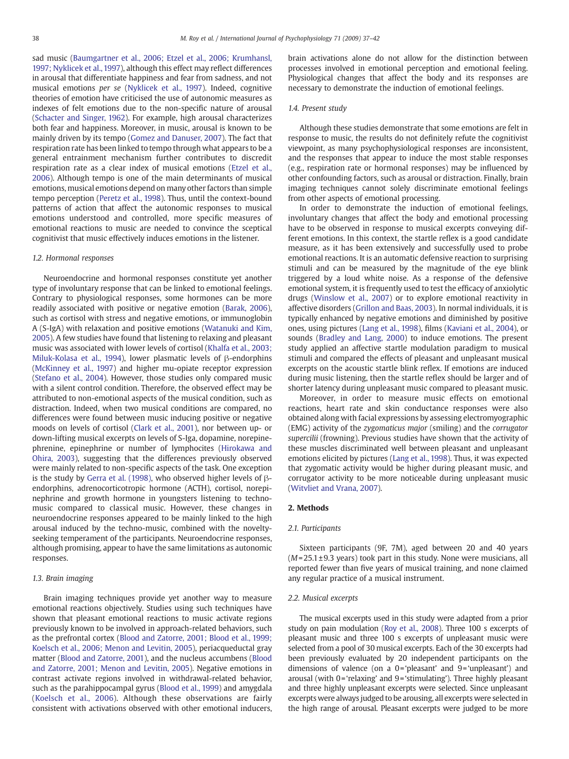sad music ([Baumgartner et al., 2006; Etzel et al., 2006; Krumhansl,](#page--1-0) [1997; Nyklicek et al., 1997](#page--1-0)), although this effect may reflect differences in arousal that differentiate happiness and fear from sadness, and not musical emotions per se ([Nyklicek et al., 1997\)](#page--1-0). Indeed, cognitive theories of emotion have criticised the use of autonomic measures as indexes of felt emotions due to the non-specific nature of arousal ([Schacter and Singer, 1962](#page--1-0)). For example, high arousal characterizes both fear and happiness. Moreover, in music, arousal is known to be mainly driven by its tempo ([Gomez and Danuser, 2007](#page--1-0)). The fact that respiration rate has been linked to tempo through what appears to be a general entrainment mechanism further contributes to discredit respiration rate as a clear index of musical emotions [\(Etzel et al.,](#page--1-0) [2006](#page--1-0)). Although tempo is one of the main determinants of musical emotions, musical emotions depend on many other factors than simple tempo perception [\(Peretz et al., 1998](#page--1-0)). Thus, until the context-bound patterns of action that affect the autonomic responses to musical emotions understood and controlled, more specific measures of emotional reactions to music are needed to convince the sceptical cognitivist that music effectively induces emotions in the listener.

#### 1.2. Hormonal responses

Neuroendocrine and hormonal responses constitute yet another type of involuntary response that can be linked to emotional feelings. Contrary to physiological responses, some hormones can be more readily associated with positive or negative emotion ([Barak, 2006](#page--1-0)), such as cortisol with stress and negative emotions, or immunoglobin A (S-IgA) with relaxation and positive emotions [\(Watanuki and Kim,](#page--1-0) [2005](#page--1-0)). A few studies have found that listening to relaxing and pleasant music was associated with lower levels of cortisol ([Khalfa et al., 2003;](#page--1-0) [Miluk-Kolasa et al., 1994](#page--1-0)), lower plasmatic levels of β-endorphins ([McKinney et al., 1997\)](#page--1-0) and higher mu-opiate receptor expression ([Stefano et al., 2004](#page--1-0)). However, those studies only compared music with a silent control condition. Therefore, the observed effect may be attributed to non-emotional aspects of the musical condition, such as distraction. Indeed, when two musical conditions are compared, no differences were found between music inducing positive or negative moods on levels of cortisol [\(Clark et al., 2001](#page--1-0)), nor between up- or down-lifting musical excerpts on levels of S-Iga, dopamine, norepinephrenine, epinephrine or number of lymphocites ([Hirokawa and](#page--1-0) [Ohira, 2003](#page--1-0)), suggesting that the differences previously observed were mainly related to non-specific aspects of the task. One exception is the study by [Gerra et al. \(1998\)](#page--1-0), who observed higher levels of βendorphins, adrenocorticotropic hormone (ACTH), cortisol, norepinephrine and growth hormone in youngsters listening to technomusic compared to classical music. However, these changes in neuroendocrine responses appeared to be mainly linked to the high arousal induced by the techno-music, combined with the noveltyseeking temperament of the participants. Neuroendocrine responses, although promising, appear to have the same limitations as autonomic responses.

#### 1.3. Brain imaging

Brain imaging techniques provide yet another way to measure emotional reactions objectively. Studies using such techniques have shown that pleasant emotional reactions to music activate regions previously known to be involved in approach-related behaviors, such as the prefrontal cortex [\(Blood and Zatorre, 2001; Blood et al., 1999;](#page--1-0) [Koelsch et al., 2006; Menon and Levitin, 2005](#page--1-0)), periacqueductal gray matter [\(Blood and Zatorre, 2001](#page--1-0)), and the nucleus accumbens [\(Blood](#page--1-0) [and Zatorre, 2001; Menon and Levitin, 2005](#page--1-0)). Negative emotions in contrast activate regions involved in withdrawal-related behavior, such as the parahippocampal gyrus [\(Blood et al., 1999](#page--1-0)) and amygdala ([Koelsch et al., 2006\)](#page--1-0). Although these observations are fairly consistent with activations observed with other emotional inducers, brain activations alone do not allow for the distinction between processes involved in emotional perception and emotional feeling. Physiological changes that affect the body and its responses are necessary to demonstrate the induction of emotional feelings.

#### 1.4. Present study

Although these studies demonstrate that some emotions are felt in response to music, the results do not definitely refute the cognitivist viewpoint, as many psychophysiological responses are inconsistent, and the responses that appear to induce the most stable responses (e.g., respiration rate or hormonal responses) may be influenced by other confounding factors, such as arousal or distraction. Finally, brain imaging techniques cannot solely discriminate emotional feelings from other aspects of emotional processing.

In order to demonstrate the induction of emotional feelings, involuntary changes that affect the body and emotional processing have to be observed in response to musical excerpts conveying different emotions. In this context, the startle reflex is a good candidate measure, as it has been extensively and successfully used to probe emotional reactions. It is an automatic defensive reaction to surprising stimuli and can be measured by the magnitude of the eye blink triggered by a loud white noise. As a response of the defensive emotional system, it is frequently used to test the efficacy of anxiolytic drugs ([Winslow et al., 2007\)](#page--1-0) or to explore emotional reactivity in affective disorders [\(Grillon and Baas, 2003\)](#page--1-0). In normal individuals, it is typically enhanced by negative emotions and diminished by positive ones, using pictures [\(Lang et al., 1998\)](#page--1-0), films [\(Kaviani et al., 2004\)](#page--1-0), or sounds ([Bradley and Lang, 2000](#page--1-0)) to induce emotions. The present study applied an affective startle modulation paradigm to musical stimuli and compared the effects of pleasant and unpleasant musical excerpts on the acoustic startle blink reflex. If emotions are induced during music listening, then the startle reflex should be larger and of shorter latency during unpleasant music compared to pleasant music.

Moreover, in order to measure music effects on emotional reactions, heart rate and skin conductance responses were also obtained along with facial expressions by assessing electromyographic (EMG) activity of the zygomaticus major (smiling) and the corrugator supercilii (frowning). Previous studies have shown that the activity of these muscles discriminated well between pleasant and unpleasant emotions elicited by pictures [\(Lang et al., 1998\)](#page--1-0). Thus, it was expected that zygomatic activity would be higher during pleasant music, and corrugator activity to be more noticeable during unpleasant music ([Witvliet and Vrana, 2007](#page--1-0)).

#### 2. Methods

#### 2.1. Participants

Sixteen participants (9F, 7M), aged between 20 and 40 years  $(M= 25.1 \pm 9.3$  years) took part in this study. None were musicians, all reported fewer than five years of musical training, and none claimed any regular practice of a musical instrument.

#### 2.2. Musical excerpts

The musical excerpts used in this study were adapted from a prior study on pain modulation [\(Roy et al., 2008](#page--1-0)). Three 100 s excerpts of pleasant music and three 100 s excerpts of unpleasant music were selected from a pool of 30 musical excerpts. Each of the 30 excerpts had been previously evaluated by 20 independent participants on the dimensions of valence (on a  $0=$  'pleasant' and  $9=$  'unpleasant') and arousal (with  $0$ ='relaxing' and  $9$ ='stimulating'). Three highly pleasant and three highly unpleasant excerpts were selected. Since unpleasant excerpts were always judged to be arousing, all excerpts were selected in the high range of arousal. Pleasant excerpts were judged to be more